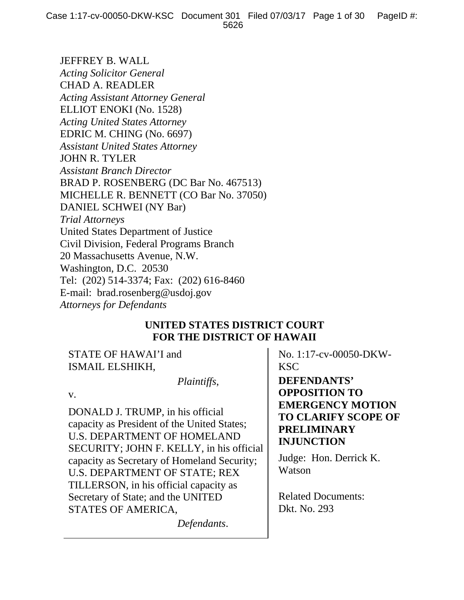JEFFREY B. WALL *Acting Solicitor General*  CHAD A. READLER *Acting Assistant Attorney General*  ELLIOT ENOKI (No. 1528) *Acting United States Attorney*  EDRIC M. CHING (No. 6697) *Assistant United States Attorney*  JOHN R. TYLER *Assistant Branch Director*  BRAD P. ROSENBERG (DC Bar No. 467513) MICHELLE R. BENNETT (CO Bar No. 37050) DANIEL SCHWEI (NY Bar) *Trial Attorneys*  United States Department of Justice Civil Division, Federal Programs Branch 20 Massachusetts Avenue, N.W. Washington, D.C. 20530 Tel: (202) 514-3374; Fax: (202) 616-8460 E-mail: brad.rosenberg@usdoj.gov *Attorneys for Defendants*

# **UNITED STATES DISTRICT COURT FOR THE DISTRICT OF HAWAII**

STATE OF HAWAI'I and ISMAIL ELSHIKH,

 *Plaintiffs*,

v.

DONALD J. TRUMP, in his official capacity as President of the United States; U.S. DEPARTMENT OF HOMELAND SECURITY; JOHN F. KELLY, in his official capacity as Secretary of Homeland Security; U.S. DEPARTMENT OF STATE; REX TILLERSON, in his official capacity as Secretary of State; and the UNITED STATES OF AMERICA,

*Defendants*.

No. 1:17-cv-00050-DKW-KSC

**DEFENDANTS' OPPOSITION TO EMERGENCY MOTION TO CLARIFY SCOPE OF PRELIMINARY INJUNCTION**

Judge: Hon. Derrick K. Watson

Related Documents: Dkt. No. 293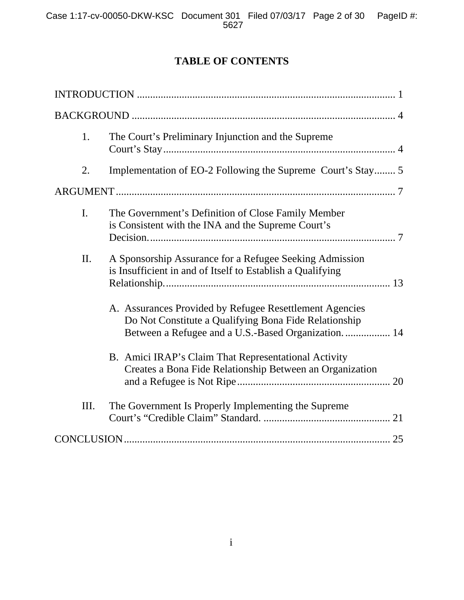# **TABLE OF CONTENTS**

| 1.  | The Court's Preliminary Injunction and the Supreme                                                                                                                       |
|-----|--------------------------------------------------------------------------------------------------------------------------------------------------------------------------|
| 2.  | Implementation of EO-2 Following the Supreme Court's Stay 5                                                                                                              |
|     |                                                                                                                                                                          |
| L.  | The Government's Definition of Close Family Member<br>is Consistent with the INA and the Supreme Court's                                                                 |
| II. | A Sponsorship Assurance for a Refugee Seeking Admission<br>is Insufficient in and of Itself to Establish a Qualifying                                                    |
|     | A. Assurances Provided by Refugee Resettlement Agencies<br>Do Not Constitute a Qualifying Bona Fide Relationship<br>Between a Refugee and a U.S.-Based Organization.  14 |
|     | B. Amici IRAP's Claim That Representational Activity<br>Creates a Bona Fide Relationship Between an Organization                                                         |
| Ш.  | The Government Is Properly Implementing the Supreme                                                                                                                      |
|     |                                                                                                                                                                          |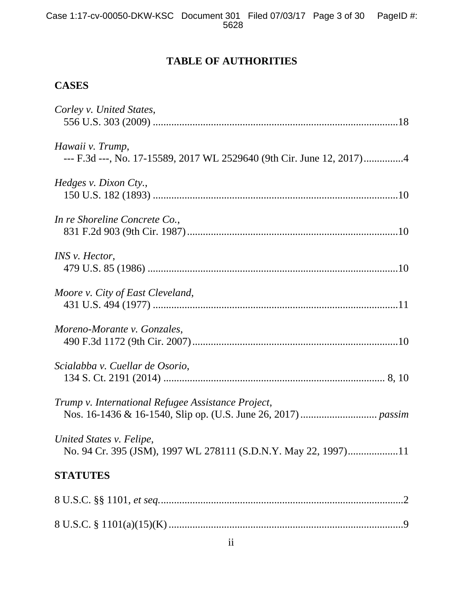# **TABLE OF AUTHORITIES**

# **CASES**

| Corley v. United States,                                                                   |
|--------------------------------------------------------------------------------------------|
| Hawaii v. Trump,<br>--- F.3d ---, No. 17-15589, 2017 WL 2529640 (9th Cir. June 12, 2017)4  |
| Hedges v. Dixon Cty.,                                                                      |
| In re Shoreline Concrete Co.,                                                              |
| INS v. Hector,                                                                             |
| Moore v. City of East Cleveland,                                                           |
| Moreno-Morante v. Gonzales,                                                                |
| Scialabba v. Cuellar de Osorio,                                                            |
| Trump v. International Refugee Assistance Project,                                         |
| United States v. Felipe,<br>No. 94 Cr. 395 (JSM), 1997 WL 278111 (S.D.N.Y. May 22, 1997)11 |
| <b>STATUTES</b>                                                                            |
|                                                                                            |
| 8 U.S.C. $\frac{101(a)(15)(K) \dots (100a)(15)(K)}{100(15)(K) \dots (100a)(K)}$            |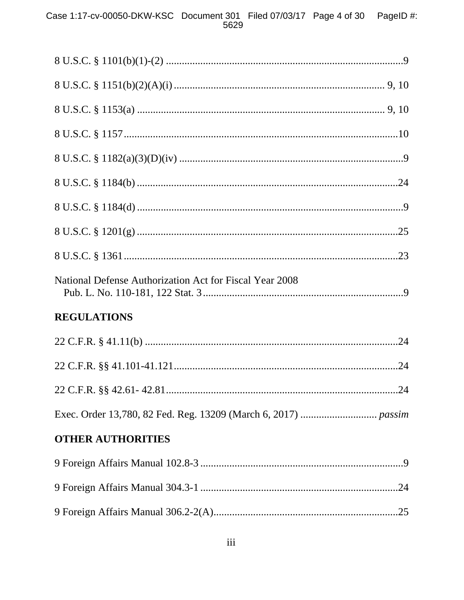| National Defense Authorization Act for Fiscal Year 2008 |  |  |
|---------------------------------------------------------|--|--|
| <b>REGULATIONS</b>                                      |  |  |
|                                                         |  |  |
|                                                         |  |  |
| .24                                                     |  |  |
|                                                         |  |  |
| <b>OTHER AUTHORITIES</b>                                |  |  |
|                                                         |  |  |
|                                                         |  |  |
|                                                         |  |  |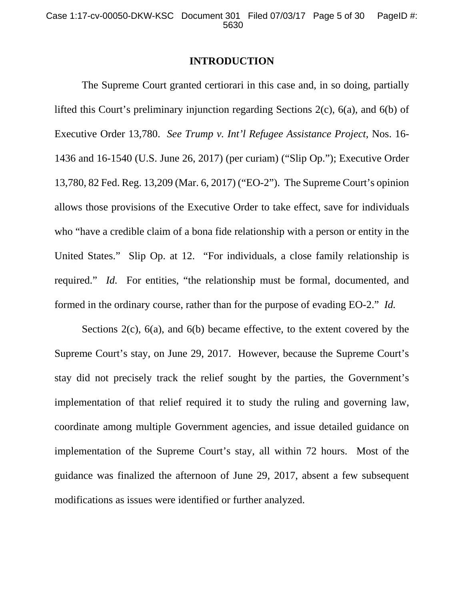#### **INTRODUCTION**

 The Supreme Court granted certiorari in this case and, in so doing, partially lifted this Court's preliminary injunction regarding Sections 2(c), 6(a), and 6(b) of Executive Order 13,780. *See Trump v. Int'l Refugee Assistance Project*, Nos. 16- 1436 and 16-1540 (U.S. June 26, 2017) (per curiam) ("Slip Op."); Executive Order 13,780, 82 Fed. Reg. 13,209 (Mar. 6, 2017) ("EO-2"). The Supreme Court's opinion allows those provisions of the Executive Order to take effect, save for individuals who "have a credible claim of a bona fide relationship with a person or entity in the United States." Slip Op. at 12. "For individuals, a close family relationship is required." *Id.* For entities, "the relationship must be formal, documented, and formed in the ordinary course, rather than for the purpose of evading EO-2." *Id.*

 Sections 2(c), 6(a), and 6(b) became effective, to the extent covered by the Supreme Court's stay, on June 29, 2017. However, because the Supreme Court's stay did not precisely track the relief sought by the parties, the Government's implementation of that relief required it to study the ruling and governing law, coordinate among multiple Government agencies, and issue detailed guidance on implementation of the Supreme Court's stay, all within 72 hours. Most of the guidance was finalized the afternoon of June 29, 2017, absent a few subsequent modifications as issues were identified or further analyzed.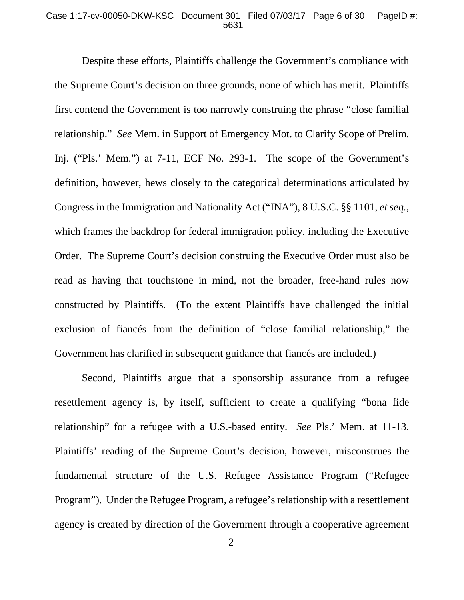#### Case 1:17-cv-00050-DKW-KSC Document 301 Filed 07/03/17 Page 6 of 30 PageID #: 5631

 Despite these efforts, Plaintiffs challenge the Government's compliance with the Supreme Court's decision on three grounds, none of which has merit. Plaintiffs first contend the Government is too narrowly construing the phrase "close familial relationship." *See* Mem. in Support of Emergency Mot. to Clarify Scope of Prelim. Inj. ("Pls.' Mem.") at 7-11, ECF No. 293-1. The scope of the Government's definition, however, hews closely to the categorical determinations articulated by Congress in the Immigration and Nationality Act ("INA"), 8 U.S.C. §§ 1101, *et seq.*, which frames the backdrop for federal immigration policy, including the Executive Order. The Supreme Court's decision construing the Executive Order must also be read as having that touchstone in mind, not the broader, free-hand rules now constructed by Plaintiffs. (To the extent Plaintiffs have challenged the initial exclusion of fiancés from the definition of "close familial relationship," the Government has clarified in subsequent guidance that fiancés are included.)

 Second, Plaintiffs argue that a sponsorship assurance from a refugee resettlement agency is, by itself, sufficient to create a qualifying "bona fide relationship" for a refugee with a U.S.-based entity. *See* Pls.' Mem. at 11-13. Plaintiffs' reading of the Supreme Court's decision, however, misconstrues the fundamental structure of the U.S. Refugee Assistance Program ("Refugee Program"). Under the Refugee Program, a refugee's relationship with a resettlement agency is created by direction of the Government through a cooperative agreement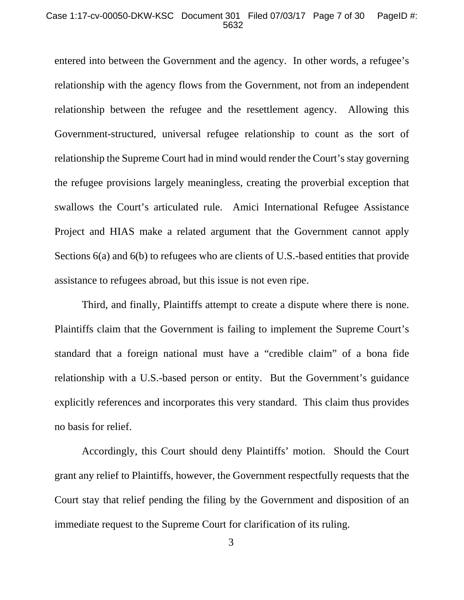#### Case 1:17-cv-00050-DKW-KSC Document 301 Filed 07/03/17 Page 7 of 30 PageID #: 5632

entered into between the Government and the agency. In other words, a refugee's relationship with the agency flows from the Government, not from an independent relationship between the refugee and the resettlement agency. Allowing this Government-structured, universal refugee relationship to count as the sort of relationship the Supreme Court had in mind would render the Court's stay governing the refugee provisions largely meaningless, creating the proverbial exception that swallows the Court's articulated rule. Amici International Refugee Assistance Project and HIAS make a related argument that the Government cannot apply Sections 6(a) and 6(b) to refugees who are clients of U.S.-based entities that provide assistance to refugees abroad, but this issue is not even ripe.

 Third, and finally, Plaintiffs attempt to create a dispute where there is none. Plaintiffs claim that the Government is failing to implement the Supreme Court's standard that a foreign national must have a "credible claim" of a bona fide relationship with a U.S.-based person or entity. But the Government's guidance explicitly references and incorporates this very standard. This claim thus provides no basis for relief.

 Accordingly, this Court should deny Plaintiffs' motion. Should the Court grant any relief to Plaintiffs, however, the Government respectfully requests that the Court stay that relief pending the filing by the Government and disposition of an immediate request to the Supreme Court for clarification of its ruling.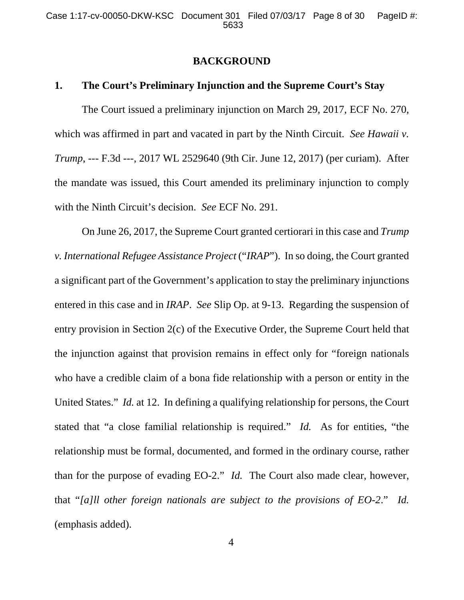### **BACKGROUND**

### **1. The Court's Preliminary Injunction and the Supreme Court's Stay**

 The Court issued a preliminary injunction on March 29, 2017, ECF No. 270, which was affirmed in part and vacated in part by the Ninth Circuit. *See Hawaii v. Trump*, --- F.3d ---, 2017 WL 2529640 (9th Cir. June 12, 2017) (per curiam). After the mandate was issued, this Court amended its preliminary injunction to comply with the Ninth Circuit's decision. *See* ECF No. 291.

 On June 26, 2017, the Supreme Court granted certiorari in this case and *Trump v. International Refugee Assistance Project* ("*IRAP*"). In so doing, the Court granted a significant part of the Government's application to stay the preliminary injunctions entered in this case and in *IRAP*. *See* Slip Op. at 9-13. Regarding the suspension of entry provision in Section 2(c) of the Executive Order, the Supreme Court held that the injunction against that provision remains in effect only for "foreign nationals who have a credible claim of a bona fide relationship with a person or entity in the United States." *Id.* at 12. In defining a qualifying relationship for persons, the Court stated that "a close familial relationship is required." *Id.* As for entities, "the relationship must be formal, documented, and formed in the ordinary course, rather than for the purpose of evading EO-2." *Id.* The Court also made clear, however, that "*[a]ll other foreign nationals are subject to the provisions of EO-2*." *Id.*  (emphasis added).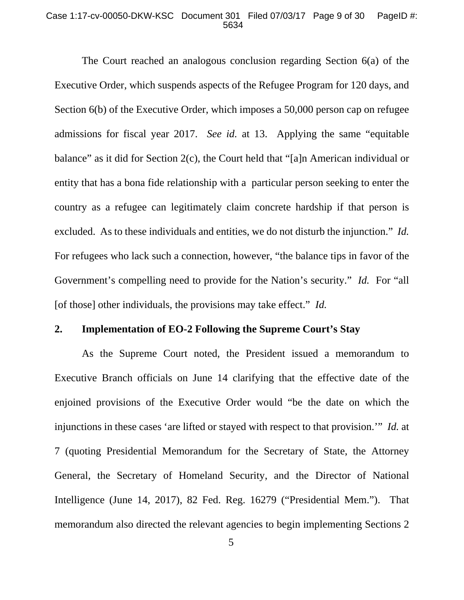#### Case 1:17-cv-00050-DKW-KSC Document 301 Filed 07/03/17 Page 9 of 30 PageID #: 5634

 The Court reached an analogous conclusion regarding Section 6(a) of the Executive Order, which suspends aspects of the Refugee Program for 120 days, and Section 6(b) of the Executive Order, which imposes a 50,000 person cap on refugee admissions for fiscal year 2017. *See id.* at 13. Applying the same "equitable balance" as it did for Section 2(c), the Court held that "[a]n American individual or entity that has a bona fide relationship with a particular person seeking to enter the country as a refugee can legitimately claim concrete hardship if that person is excluded. As to these individuals and entities, we do not disturb the injunction." *Id.* For refugees who lack such a connection, however, "the balance tips in favor of the Government's compelling need to provide for the Nation's security." *Id.* For "all [of those] other individuals, the provisions may take effect." *Id.*

### **2. Implementation of EO-2 Following the Supreme Court's Stay**

 As the Supreme Court noted, the President issued a memorandum to Executive Branch officials on June 14 clarifying that the effective date of the enjoined provisions of the Executive Order would "be the date on which the injunctions in these cases 'are lifted or stayed with respect to that provision.'" *Id.* at 7 (quoting Presidential Memorandum for the Secretary of State, the Attorney General, the Secretary of Homeland Security, and the Director of National Intelligence (June 14, 2017), 82 Fed. Reg. 16279 ("Presidential Mem.").That memorandum also directed the relevant agencies to begin implementing Sections 2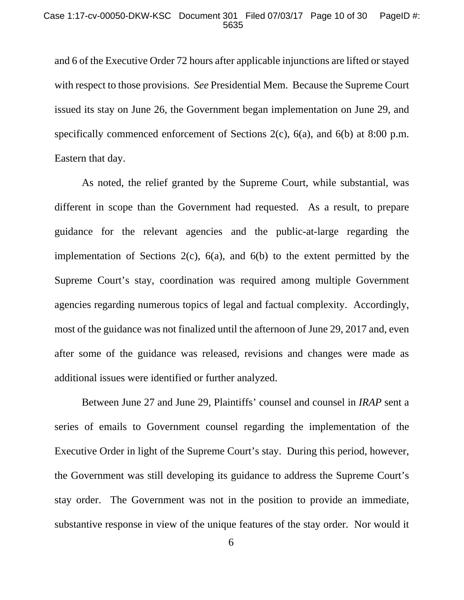and 6 of the Executive Order 72 hours after applicable injunctions are lifted or stayed with respect to those provisions. *See* Presidential Mem. Because the Supreme Court issued its stay on June 26, the Government began implementation on June 29, and specifically commenced enforcement of Sections 2(c), 6(a), and 6(b) at 8:00 p.m. Eastern that day.

 As noted, the relief granted by the Supreme Court, while substantial, was different in scope than the Government had requested. As a result, to prepare guidance for the relevant agencies and the public-at-large regarding the implementation of Sections  $2(c)$ ,  $6(a)$ , and  $6(b)$  to the extent permitted by the Supreme Court's stay, coordination was required among multiple Government agencies regarding numerous topics of legal and factual complexity. Accordingly, most of the guidance was not finalized until the afternoon of June 29, 2017 and, even after some of the guidance was released, revisions and changes were made as additional issues were identified or further analyzed.

 Between June 27 and June 29, Plaintiffs' counsel and counsel in *IRAP* sent a series of emails to Government counsel regarding the implementation of the Executive Order in light of the Supreme Court's stay. During this period, however, the Government was still developing its guidance to address the Supreme Court's stay order. The Government was not in the position to provide an immediate, substantive response in view of the unique features of the stay order. Nor would it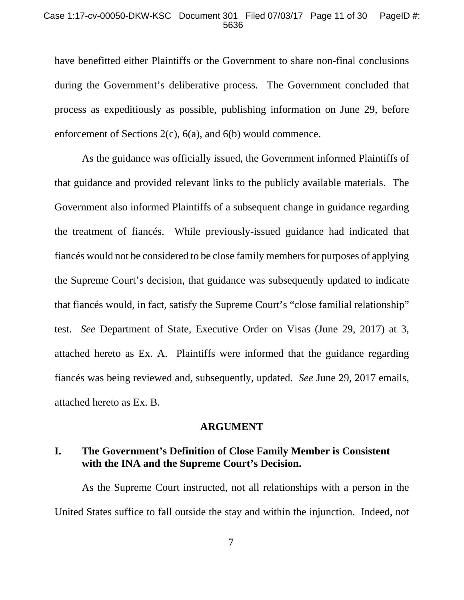#### Case 1:17-cv-00050-DKW-KSC Document 301 Filed 07/03/17 Page 11 of 30 PageID #: 5636

have benefitted either Plaintiffs or the Government to share non-final conclusions during the Government's deliberative process. The Government concluded that process as expeditiously as possible, publishing information on June 29, before enforcement of Sections 2(c), 6(a), and 6(b) would commence.

 As the guidance was officially issued, the Government informed Plaintiffs of that guidance and provided relevant links to the publicly available materials. The Government also informed Plaintiffs of a subsequent change in guidance regarding the treatment of fiancés. While previously-issued guidance had indicated that fiancés would not be considered to be close family members for purposes of applying the Supreme Court's decision, that guidance was subsequently updated to indicate that fiancés would, in fact, satisfy the Supreme Court's "close familial relationship" test. *See* Department of State, Executive Order on Visas (June 29, 2017) at 3, attached hereto as Ex. A. Plaintiffs were informed that the guidance regarding fiancés was being reviewed and, subsequently, updated. *See* June 29, 2017 emails, attached hereto as Ex. B.

### **ARGUMENT**

## **I. The Government's Definition of Close Family Member is Consistent with the INA and the Supreme Court's Decision.**

As the Supreme Court instructed, not all relationships with a person in the United States suffice to fall outside the stay and within the injunction. Indeed, not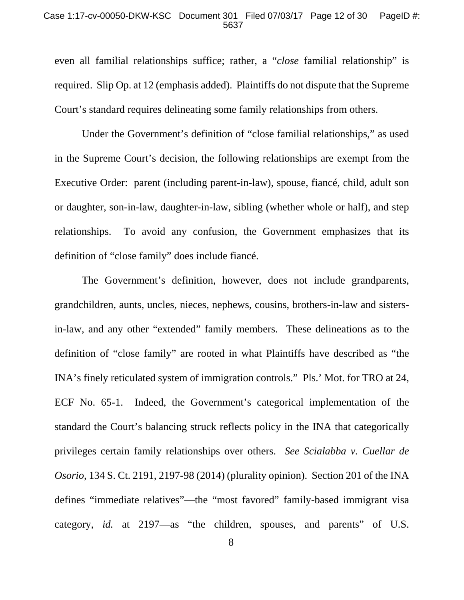#### Case 1:17-cv-00050-DKW-KSC Document 301 Filed 07/03/17 Page 12 of 30 PageID #: 5637

even all familial relationships suffice; rather, a "*close* familial relationship" is required. Slip Op. at 12 (emphasis added). Plaintiffs do not dispute that the Supreme Court's standard requires delineating some family relationships from others.

Under the Government's definition of "close familial relationships," as used in the Supreme Court's decision, the following relationships are exempt from the Executive Order: parent (including parent-in-law), spouse, fiancé, child, adult son or daughter, son-in-law, daughter-in-law, sibling (whether whole or half), and step relationships. To avoid any confusion, the Government emphasizes that its definition of "close family" does include fiancé.

The Government's definition, however, does not include grandparents, grandchildren, aunts, uncles, nieces, nephews, cousins, brothers-in-law and sistersin-law, and any other "extended" family members. These delineations as to the definition of "close family" are rooted in what Plaintiffs have described as "the INA's finely reticulated system of immigration controls." Pls.' Mot. for TRO at 24, ECF No. 65-1. Indeed, the Government's categorical implementation of the standard the Court's balancing struck reflects policy in the INA that categorically privileges certain family relationships over others. *See Scialabba v. Cuellar de Osorio*, 134 S. Ct. 2191, 2197-98 (2014) (plurality opinion). Section 201 of the INA defines "immediate relatives"—the "most favored" family-based immigrant visa category, *id.* at 2197—as "the children, spouses, and parents" of U.S.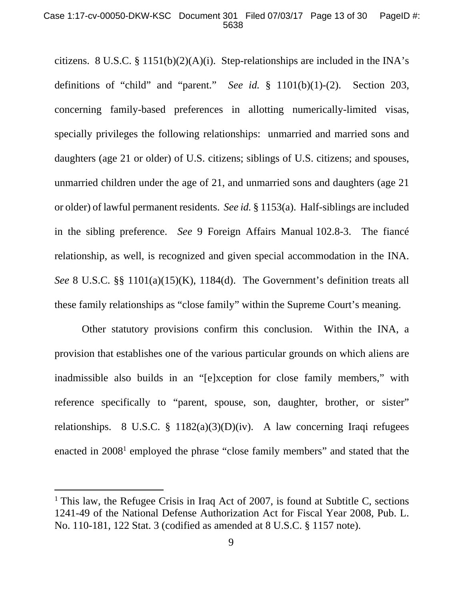#### Case 1:17-cv-00050-DKW-KSC Document 301 Filed 07/03/17 Page 13 of 30 PageID #: 5638

citizens. 8 U.S.C. § 1151(b)(2)(A)(i). Step-relationships are included in the INA's definitions of "child" and "parent." *See id.* § 1101(b)(1)-(2). Section 203, concerning family-based preferences in allotting numerically-limited visas, specially privileges the following relationships: unmarried and married sons and daughters (age 21 or older) of U.S. citizens; siblings of U.S. citizens; and spouses, unmarried children under the age of 21, and unmarried sons and daughters (age 21 or older) of lawful permanent residents. *See id.* § 1153(a). Half-siblings are included in the sibling preference. *See* 9 Foreign Affairs Manual 102.8-3. The fiancé relationship, as well, is recognized and given special accommodation in the INA. *See* 8 U.S.C. §§ 1101(a)(15)(K), 1184(d). The Government's definition treats all these family relationships as "close family" within the Supreme Court's meaning.

Other statutory provisions confirm this conclusion. Within the INA, a provision that establishes one of the various particular grounds on which aliens are inadmissible also builds in an "[e]xception for close family members," with reference specifically to "parent, spouse, son, daughter, brother, or sister" relationships. 8 U.S.C. § 1182(a)(3)(D)(iv). A law concerning Iraqi refugees enacted in 2008<sup>1</sup> employed the phrase "close family members" and stated that the

-

<sup>&</sup>lt;sup>1</sup> This law, the Refugee Crisis in Iraq Act of 2007, is found at Subtitle C, sections 1241-49 of the National Defense Authorization Act for Fiscal Year 2008, Pub. L. No. 110-181, 122 Stat. 3 (codified as amended at 8 U.S.C. § 1157 note).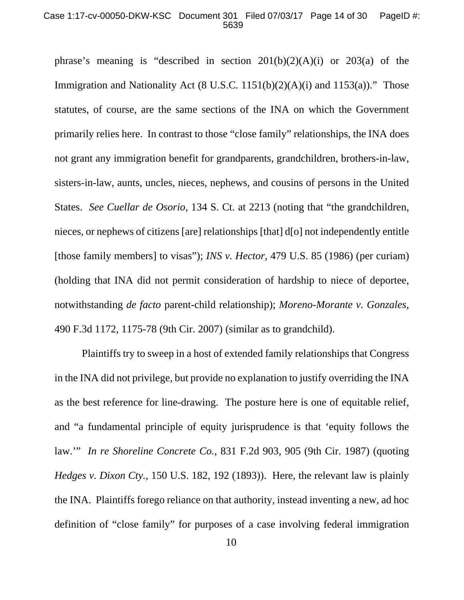#### Case 1:17-cv-00050-DKW-KSC Document 301 Filed 07/03/17 Page 14 of 30 PageID #: 5639

phrase's meaning is "described in section  $201(b)(2)(A)(i)$  or  $203(a)$  of the Immigration and Nationality Act  $(8 \text{ U.S.C. } 1151(b)(2)(A)(i)$  and  $1153(a))$ ." Those statutes, of course, are the same sections of the INA on which the Government primarily relies here. In contrast to those "close family" relationships, the INA does not grant any immigration benefit for grandparents, grandchildren, brothers-in-law, sisters-in-law, aunts, uncles, nieces, nephews, and cousins of persons in the United States. *See Cuellar de Osorio*, 134 S. Ct. at 2213 (noting that "the grandchildren, nieces, or nephews of citizens [are] relationships [that] d[o] not independently entitle [those family members] to visas"); *INS v. Hector*, 479 U.S. 85 (1986) (per curiam) (holding that INA did not permit consideration of hardship to niece of deportee, notwithstanding *de facto* parent-child relationship); *Moreno-Morante v. Gonzales*, 490 F.3d 1172, 1175-78 (9th Cir. 2007) (similar as to grandchild).

 Plaintiffs try to sweep in a host of extended family relationships that Congress in the INA did not privilege, but provide no explanation to justify overriding the INA as the best reference for line-drawing. The posture here is one of equitable relief, and "a fundamental principle of equity jurisprudence is that 'equity follows the law.'" *In re Shoreline Concrete Co.*, 831 F.2d 903, 905 (9th Cir. 1987) (quoting *Hedges v. Dixon Cty.*, 150 U.S. 182, 192 (1893)). Here, the relevant law is plainly the INA. Plaintiffs forego reliance on that authority, instead inventing a new, ad hoc definition of "close family" for purposes of a case involving federal immigration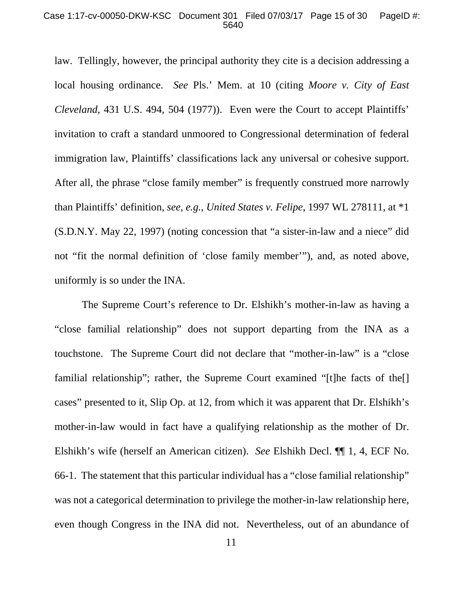#### Case 1:17-cv-00050-DKW-KSC Document 301 Filed 07/03/17 Page 15 of 30 PageID #: 5640

law. Tellingly, however, the principal authority they cite is a decision addressing a local housing ordinance. *See* Pls.' Mem. at 10 (citing *Moore v. City of East Cleveland*, 431 U.S. 494, 504 (1977)). Even were the Court to accept Plaintiffs' invitation to craft a standard unmoored to Congressional determination of federal immigration law, Plaintiffs' classifications lack any universal or cohesive support. After all, the phrase "close family member" is frequently construed more narrowly than Plaintiffs' definition, *see, e.g.*, *United States v. Felipe*, 1997 WL 278111, at \*1 (S.D.N.Y. May 22, 1997) (noting concession that "a sister-in-law and a niece" did not "fit the normal definition of 'close family member'"), and, as noted above, uniformly is so under the INA.

The Supreme Court's reference to Dr. Elshikh's mother-in-law as having a "close familial relationship" does not support departing from the INA as a touchstone. The Supreme Court did not declare that "mother-in-law" is a "close familial relationship"; rather, the Supreme Court examined "[t]he facts of the<sup>[]</sup> cases" presented to it, Slip Op. at 12, from which it was apparent that Dr. Elshikh's mother-in-law would in fact have a qualifying relationship as the mother of Dr. Elshikh's wife (herself an American citizen). *See* Elshikh Decl. ¶¶ 1, 4, ECF No. 66-1. The statement that this particular individual has a "close familial relationship" was not a categorical determination to privilege the mother-in-law relationship here, even though Congress in the INA did not. Nevertheless, out of an abundance of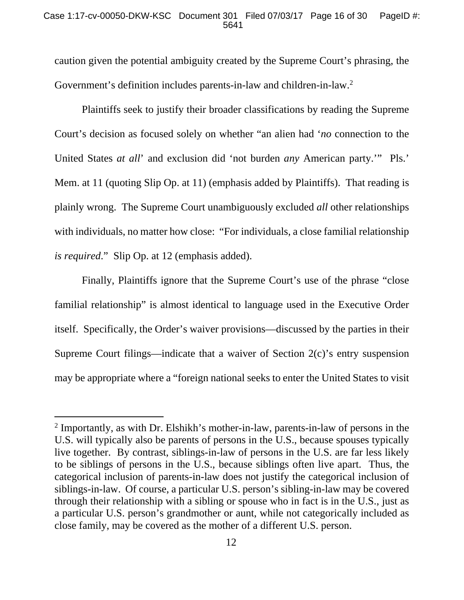### Case 1:17-cv-00050-DKW-KSC Document 301 Filed 07/03/17 Page 16 of 30 PageID #: 5641

caution given the potential ambiguity created by the Supreme Court's phrasing, the Government's definition includes parents-in-law and children-in-law.<sup>2</sup>

 Plaintiffs seek to justify their broader classifications by reading the Supreme Court's decision as focused solely on whether "an alien had '*no* connection to the United States *at all*' and exclusion did 'not burden *any* American party.'" Pls.' Mem. at 11 (quoting Slip Op. at 11) (emphasis added by Plaintiffs). That reading is plainly wrong. The Supreme Court unambiguously excluded *all* other relationships with individuals, no matter how close: "For individuals, a close familial relationship *is required*." Slip Op. at 12 (emphasis added).

Finally, Plaintiffs ignore that the Supreme Court's use of the phrase "close familial relationship" is almost identical to language used in the Executive Order itself. Specifically, the Order's waiver provisions—discussed by the parties in their Supreme Court filings—indicate that a waiver of Section 2(c)'s entry suspension may be appropriate where a "foreign national seeks to enter the United States to visit

-

<sup>&</sup>lt;sup>2</sup> Importantly, as with Dr. Elshikh's mother-in-law, parents-in-law of persons in the U.S. will typically also be parents of persons in the U.S., because spouses typically live together. By contrast, siblings-in-law of persons in the U.S. are far less likely to be siblings of persons in the U.S., because siblings often live apart. Thus, the categorical inclusion of parents-in-law does not justify the categorical inclusion of siblings-in-law. Of course, a particular U.S. person's sibling-in-law may be covered through their relationship with a sibling or spouse who in fact is in the U.S., just as a particular U.S. person's grandmother or aunt, while not categorically included as close family, may be covered as the mother of a different U.S. person.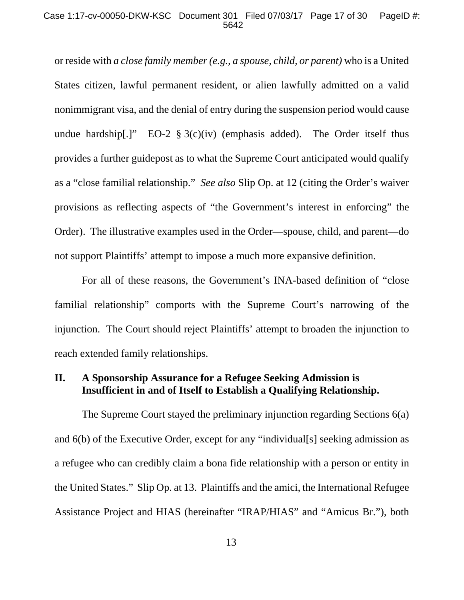#### Case 1:17-cv-00050-DKW-KSC Document 301 Filed 07/03/17 Page 17 of 30 PageID #: 5642

or reside with *a close family member (e.g., a spouse, child, or parent)* who is a United States citizen, lawful permanent resident, or alien lawfully admitted on a valid nonimmigrant visa, and the denial of entry during the suspension period would cause undue hardship[.]" EO-2  $\S 3(c)(iv)$  (emphasis added). The Order itself thus provides a further guidepost as to what the Supreme Court anticipated would qualify as a "close familial relationship." *See also* Slip Op. at 12 (citing the Order's waiver provisions as reflecting aspects of "the Government's interest in enforcing" the Order). The illustrative examples used in the Order—spouse, child, and parent—do not support Plaintiffs' attempt to impose a much more expansive definition.

For all of these reasons, the Government's INA-based definition of "close familial relationship" comports with the Supreme Court's narrowing of the injunction. The Court should reject Plaintiffs' attempt to broaden the injunction to reach extended family relationships.

# **II. A Sponsorship Assurance for a Refugee Seeking Admission is Insufficient in and of Itself to Establish a Qualifying Relationship.**

 The Supreme Court stayed the preliminary injunction regarding Sections 6(a) and 6(b) of the Executive Order, except for any "individual[s] seeking admission as a refugee who can credibly claim a bona fide relationship with a person or entity in the United States." Slip Op. at 13.Plaintiffs and the amici, the International Refugee Assistance Project and HIAS (hereinafter "IRAP/HIAS" and "Amicus Br."), both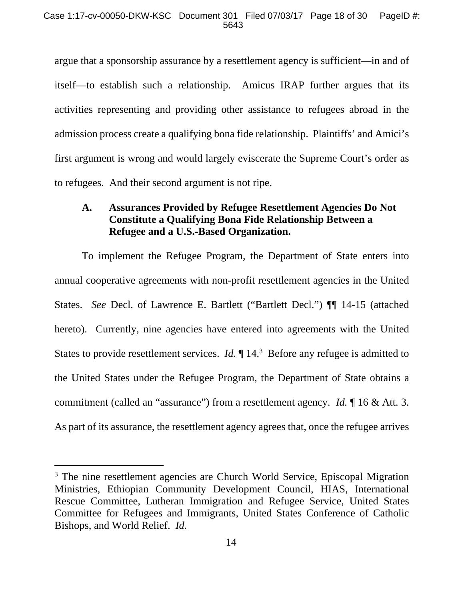argue that a sponsorship assurance by a resettlement agency is sufficient—in and of itself—to establish such a relationship. Amicus IRAP further argues that its activities representing and providing other assistance to refugees abroad in the admission process create a qualifying bona fide relationship. Plaintiffs' and Amici's first argument is wrong and would largely eviscerate the Supreme Court's order as to refugees. And their second argument is not ripe.

## **A. Assurances Provided by Refugee Resettlement Agencies Do Not Constitute a Qualifying Bona Fide Relationship Between a Refugee and a U.S.-Based Organization.**

 To implement the Refugee Program, the Department of State enters into annual cooperative agreements with non-profit resettlement agencies in the United States. *See* Decl. of Lawrence E. Bartlett ("Bartlett Decl.") ¶¶ 14-15 (attached hereto). Currently, nine agencies have entered into agreements with the United States to provide resettlement services. *Id*.  $\P$  14.<sup>3</sup> Before any refugee is admitted to the United States under the Refugee Program, the Department of State obtains a commitment (called an "assurance") from a resettlement agency. *Id.* ¶ 16 & Att. 3. As part of its assurance, the resettlement agency agrees that, once the refugee arrives

-

<sup>&</sup>lt;sup>3</sup> The nine resettlement agencies are Church World Service, Episcopal Migration Ministries, Ethiopian Community Development Council, HIAS, International Rescue Committee, Lutheran Immigration and Refugee Service, United States Committee for Refugees and Immigrants, United States Conference of Catholic Bishops, and World Relief. *Id.*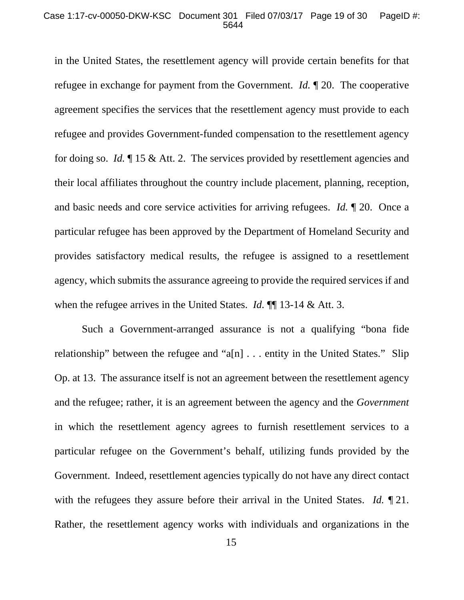#### Case 1:17-cv-00050-DKW-KSC Document 301 Filed 07/03/17 Page 19 of 30 PageID #: 5644

in the United States, the resettlement agency will provide certain benefits for that refugee in exchange for payment from the Government. *Id.* ¶ 20. The cooperative agreement specifies the services that the resettlement agency must provide to each refugee and provides Government-funded compensation to the resettlement agency for doing so. *Id.* ¶ 15 & Att. 2. The services provided by resettlement agencies and their local affiliates throughout the country include placement, planning, reception, and basic needs and core service activities for arriving refugees. *Id.* ¶ 20. Once a particular refugee has been approved by the Department of Homeland Security and provides satisfactory medical results, the refugee is assigned to a resettlement agency, which submits the assurance agreeing to provide the required services if and when the refugee arrives in the United States. *Id.* **¶** 13-14 & Att. 3.

Such a Government-arranged assurance is not a qualifying "bona fide relationship" between the refugee and "a[n]  $\ldots$  entity in the United States." Slip Op. at 13. The assurance itself is not an agreement between the resettlement agency and the refugee; rather, it is an agreement between the agency and the *Government* in which the resettlement agency agrees to furnish resettlement services to a particular refugee on the Government's behalf, utilizing funds provided by the Government. Indeed, resettlement agencies typically do not have any direct contact with the refugees they assure before their arrival in the United States. *Id.* ¶ 21. Rather, the resettlement agency works with individuals and organizations in the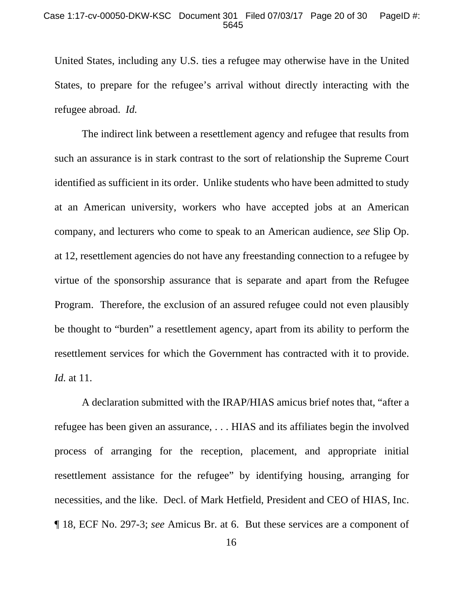United States, including any U.S. ties a refugee may otherwise have in the United States, to prepare for the refugee's arrival without directly interacting with the refugee abroad. *Id.*

The indirect link between a resettlement agency and refugee that results from such an assurance is in stark contrast to the sort of relationship the Supreme Court identified as sufficient in its order. Unlike students who have been admitted to study at an American university, workers who have accepted jobs at an American company, and lecturers who come to speak to an American audience, *see* Slip Op. at 12, resettlement agencies do not have any freestanding connection to a refugee by virtue of the sponsorship assurance that is separate and apart from the Refugee Program. Therefore, the exclusion of an assured refugee could not even plausibly be thought to "burden" a resettlement agency, apart from its ability to perform the resettlement services for which the Government has contracted with it to provide. *Id.* at 11.

A declaration submitted with the IRAP/HIAS amicus brief notes that, "after a refugee has been given an assurance, . . . HIAS and its affiliates begin the involved process of arranging for the reception, placement, and appropriate initial resettlement assistance for the refugee" by identifying housing, arranging for necessities, and the like. Decl. of Mark Hetfield, President and CEO of HIAS, Inc. ¶ 18, ECF No. 297-3; *see* Amicus Br. at 6. But these services are a component of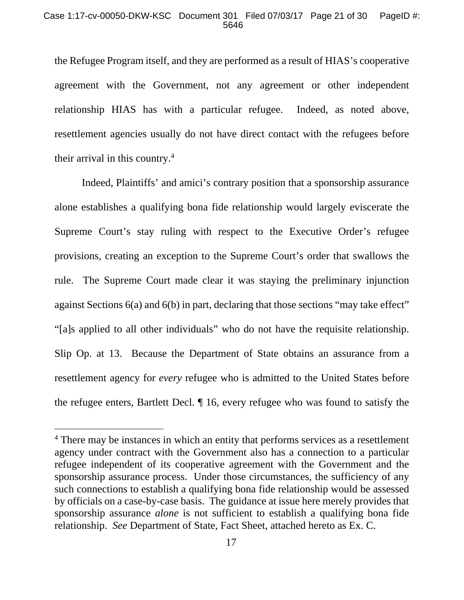the Refugee Program itself, and they are performed as a result of HIAS's cooperative agreement with the Government, not any agreement or other independent relationship HIAS has with a particular refugee. Indeed, as noted above, resettlement agencies usually do not have direct contact with the refugees before their arrival in this country.4

Indeed, Plaintiffs' and amici's contrary position that a sponsorship assurance alone establishes a qualifying bona fide relationship would largely eviscerate the Supreme Court's stay ruling with respect to the Executive Order's refugee provisions, creating an exception to the Supreme Court's order that swallows the rule. The Supreme Court made clear it was staying the preliminary injunction against Sections 6(a) and 6(b) in part, declaring that those sections "may take effect" "[a]s applied to all other individuals" who do not have the requisite relationship. Slip Op. at 13. Because the Department of State obtains an assurance from a resettlement agency for *every* refugee who is admitted to the United States before the refugee enters, Bartlett Decl. ¶ 16, every refugee who was found to satisfy the

 $\overline{a}$ 

<sup>&</sup>lt;sup>4</sup> There may be instances in which an entity that performs services as a resettlement agency under contract with the Government also has a connection to a particular refugee independent of its cooperative agreement with the Government and the sponsorship assurance process. Under those circumstances, the sufficiency of any such connections to establish a qualifying bona fide relationship would be assessed by officials on a case-by-case basis. The guidance at issue here merely provides that sponsorship assurance *alone* is not sufficient to establish a qualifying bona fide relationship. *See* Department of State, Fact Sheet, attached hereto as Ex. C.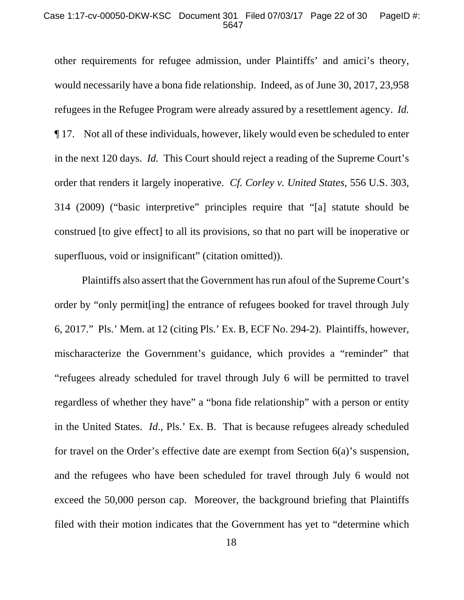#### Case 1:17-cv-00050-DKW-KSC Document 301 Filed 07/03/17 Page 22 of 30 PageID #: 5647

other requirements for refugee admission, under Plaintiffs' and amici's theory, would necessarily have a bona fide relationship. Indeed, as of June 30, 2017, 23,958 refugees in the Refugee Program were already assured by a resettlement agency. *Id.* ¶ 17. Not all of these individuals, however, likely would even be scheduled to enter in the next 120 days. *Id.* This Court should reject a reading of the Supreme Court's order that renders it largely inoperative. *Cf. Corley v. United States*, 556 U.S. 303, 314 (2009) ("basic interpretive" principles require that "[a] statute should be construed [to give effect] to all its provisions, so that no part will be inoperative or superfluous, void or insignificant" (citation omitted)).

Plaintiffs also assert that the Government has run afoul of the Supreme Court's order by "only permit[ing] the entrance of refugees booked for travel through July 6, 2017." Pls.' Mem. at 12 (citing Pls.' Ex. B, ECF No. 294-2). Plaintiffs, however, mischaracterize the Government's guidance, which provides a "reminder" that "refugees already scheduled for travel through July 6 will be permitted to travel regardless of whether they have" a "bona fide relationship" with a person or entity in the United States. *Id*., Pls.' Ex. B. That is because refugees already scheduled for travel on the Order's effective date are exempt from Section 6(a)'s suspension, and the refugees who have been scheduled for travel through July 6 would not exceed the 50,000 person cap. Moreover, the background briefing that Plaintiffs filed with their motion indicates that the Government has yet to "determine which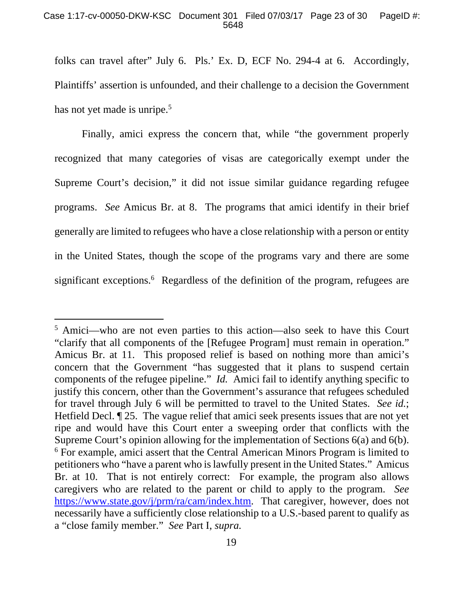### Case 1:17-cv-00050-DKW-KSC Document 301 Filed 07/03/17 Page 23 of 30 PageID #: 5648

folks can travel after" July 6. Pls.' Ex. D, ECF No. 294-4 at 6. Accordingly, Plaintiffs' assertion is unfounded, and their challenge to a decision the Government has not yet made is unripe.<sup>5</sup>

Finally, amici express the concern that, while "the government properly recognized that many categories of visas are categorically exempt under the Supreme Court's decision," it did not issue similar guidance regarding refugee programs. *See* Amicus Br. at 8. The programs that amici identify in their brief generally are limited to refugees who have a close relationship with a person or entity in the United States, though the scope of the programs vary and there are some significant exceptions.<sup>6</sup> Regardless of the definition of the program, refugees are

 $\overline{a}$ 

<sup>&</sup>lt;sup>5</sup> Amici—who are not even parties to this action—also seek to have this Court "clarify that all components of the [Refugee Program] must remain in operation." Amicus Br. at 11. This proposed relief is based on nothing more than amici's concern that the Government "has suggested that it plans to suspend certain components of the refugee pipeline." *Id.* Amici fail to identify anything specific to justify this concern, other than the Government's assurance that refugees scheduled for travel through July 6 will be permitted to travel to the United States. *See id.*; Hetfield Decl. ¶ 25. The vague relief that amici seek presents issues that are not yet ripe and would have this Court enter a sweeping order that conflicts with the Supreme Court's opinion allowing for the implementation of Sections 6(a) and 6(b). <sup>6</sup> For example, amici assert that the Central American Minors Program is limited to petitioners who "have a parent who is lawfully present in the United States." Amicus Br. at 10. That is not entirely correct: For example, the program also allows caregivers who are related to the parent or child to apply to the program. *See*  https://www.state.gov/j/prm/ra/cam/index.htm. That caregiver, however, does not necessarily have a sufficiently close relationship to a U.S.-based parent to qualify as a "close family member." *See* Part I, *supra.*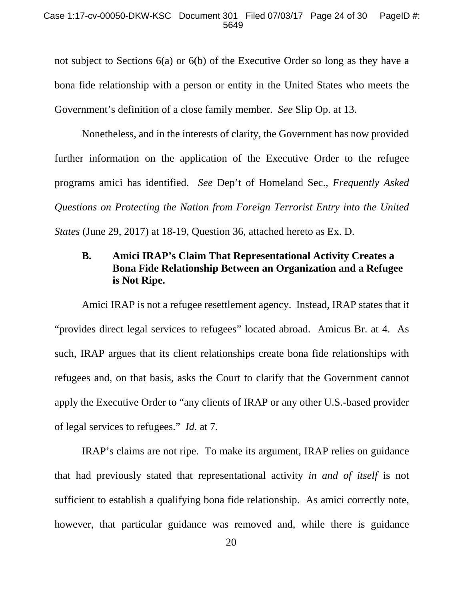not subject to Sections 6(a) or 6(b) of the Executive Order so long as they have a bona fide relationship with a person or entity in the United States who meets the Government's definition of a close family member. *See* Slip Op. at 13.

Nonetheless, and in the interests of clarity, the Government has now provided further information on the application of the Executive Order to the refugee programs amici has identified. *See* Dep't of Homeland Sec., *Frequently Asked Questions on Protecting the Nation from Foreign Terrorist Entry into the United States* (June 29, 2017) at 18-19, Question 36, attached hereto as Ex. D.

# **B. Amici IRAP's Claim That Representational Activity Creates a Bona Fide Relationship Between an Organization and a Refugee is Not Ripe.**

 Amici IRAP is not a refugee resettlement agency. Instead, IRAP states that it "provides direct legal services to refugees" located abroad. Amicus Br. at 4. As such, IRAP argues that its client relationships create bona fide relationships with refugees and, on that basis, asks the Court to clarify that the Government cannot apply the Executive Order to "any clients of IRAP or any other U.S.-based provider of legal services to refugees." *Id.* at 7.

 IRAP's claims are not ripe. To make its argument, IRAP relies on guidance that had previously stated that representational activity *in and of itself* is not sufficient to establish a qualifying bona fide relationship. As amici correctly note, however, that particular guidance was removed and, while there is guidance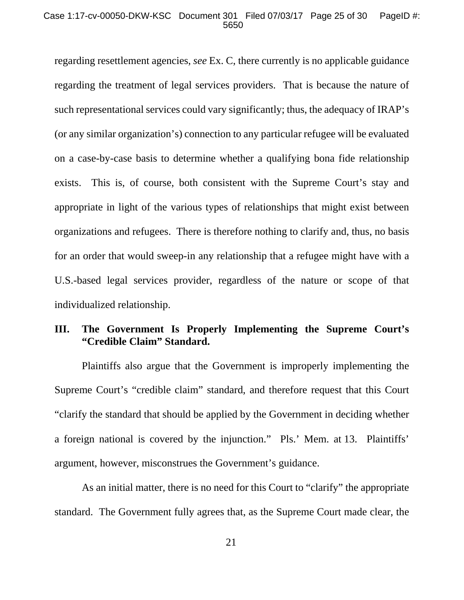#### Case 1:17-cv-00050-DKW-KSC Document 301 Filed 07/03/17 Page 25 of 30 PageID #: 5650

regarding resettlement agencies, *see* Ex. C, there currently is no applicable guidance regarding the treatment of legal services providers. That is because the nature of such representational services could vary significantly; thus, the adequacy of IRAP's (or any similar organization's) connection to any particular refugee will be evaluated on a case-by-case basis to determine whether a qualifying bona fide relationship exists. This is, of course, both consistent with the Supreme Court's stay and appropriate in light of the various types of relationships that might exist between organizations and refugees. There is therefore nothing to clarify and, thus, no basis for an order that would sweep-in any relationship that a refugee might have with a U.S.-based legal services provider, regardless of the nature or scope of that individualized relationship.

# **III. The Government Is Properly Implementing the Supreme Court's "Credible Claim" Standard.**

Plaintiffs also argue that the Government is improperly implementing the Supreme Court's "credible claim" standard, and therefore request that this Court "clarify the standard that should be applied by the Government in deciding whether a foreign national is covered by the injunction." Pls.' Mem. at 13. Plaintiffs' argument, however, misconstrues the Government's guidance.

As an initial matter, there is no need for this Court to "clarify" the appropriate standard. The Government fully agrees that, as the Supreme Court made clear, the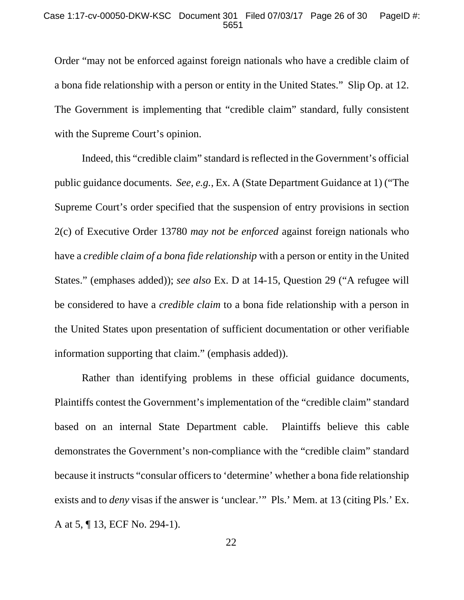Order "may not be enforced against foreign nationals who have a credible claim of a bona fide relationship with a person or entity in the United States." Slip Op. at 12. The Government is implementing that "credible claim" standard, fully consistent with the Supreme Court's opinion.

Indeed, this "credible claim" standard is reflected in the Government's official public guidance documents. *See, e.g.*, Ex. A (State Department Guidance at 1) ("The Supreme Court's order specified that the suspension of entry provisions in section 2(c) of Executive Order 13780 *may not be enforced* against foreign nationals who have a *credible claim of a bona fide relationship* with a person or entity in the United States." (emphases added)); *see also* Ex. D at 14-15, Question 29 ("A refugee will be considered to have a *credible claim* to a bona fide relationship with a person in the United States upon presentation of sufficient documentation or other verifiable information supporting that claim." (emphasis added)).

Rather than identifying problems in these official guidance documents, Plaintiffs contest the Government's implementation of the "credible claim" standard based on an internal State Department cable. Plaintiffs believe this cable demonstrates the Government's non-compliance with the "credible claim" standard because it instructs "consular officers to 'determine' whether a bona fide relationship exists and to *deny* visas if the answer is 'unclear.'" Pls.' Mem. at 13 (citing Pls.' Ex. A at 5, ¶ 13, ECF No. 294-1).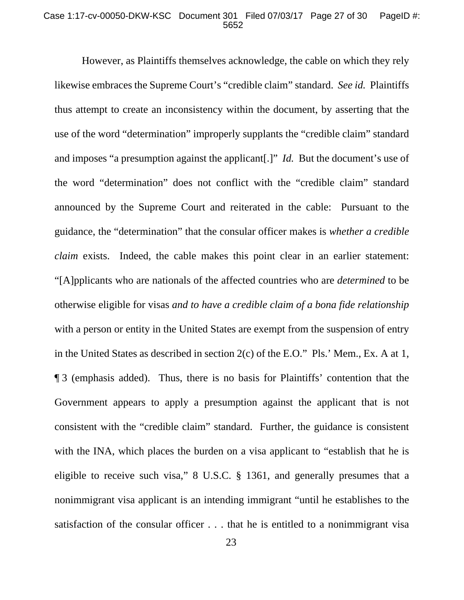#### Case 1:17-cv-00050-DKW-KSC Document 301 Filed 07/03/17 Page 27 of 30 PageID #: 5652

However, as Plaintiffs themselves acknowledge, the cable on which they rely likewise embraces the Supreme Court's "credible claim" standard. *See id.* Plaintiffs thus attempt to create an inconsistency within the document, by asserting that the use of the word "determination" improperly supplants the "credible claim" standard and imposes "a presumption against the applicant[.]" *Id.* But the document's use of the word "determination" does not conflict with the "credible claim" standard announced by the Supreme Court and reiterated in the cable: Pursuant to the guidance, the "determination" that the consular officer makes is *whether a credible claim* exists. Indeed, the cable makes this point clear in an earlier statement: "[A]pplicants who are nationals of the affected countries who are *determined* to be otherwise eligible for visas *and to have a credible claim of a bona fide relationship* with a person or entity in the United States are exempt from the suspension of entry in the United States as described in section 2(c) of the E.O." Pls.' Mem., Ex. A at 1, ¶ 3 (emphasis added). Thus, there is no basis for Plaintiffs' contention that the Government appears to apply a presumption against the applicant that is not consistent with the "credible claim" standard. Further, the guidance is consistent with the INA, which places the burden on a visa applicant to "establish that he is eligible to receive such visa," 8 U.S.C. § 1361, and generally presumes that a nonimmigrant visa applicant is an intending immigrant "until he establishes to the satisfaction of the consular officer . . . that he is entitled to a nonimmigrant visa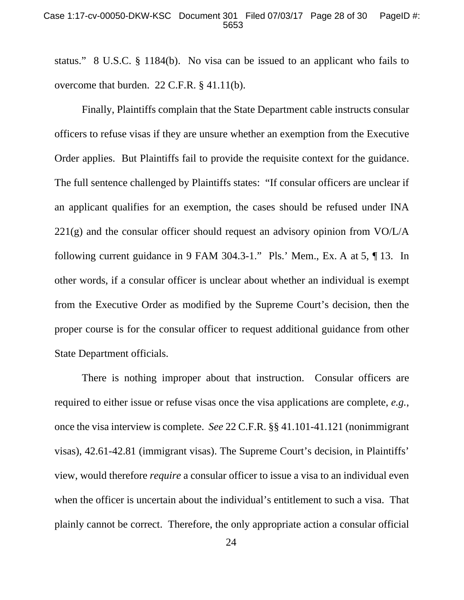#### Case 1:17-cv-00050-DKW-KSC Document 301 Filed 07/03/17 Page 28 of 30 PageID #: 5653

status." 8 U.S.C. § 1184(b). No visa can be issued to an applicant who fails to overcome that burden. 22 C.F.R. § 41.11(b).

 Finally, Plaintiffs complain that the State Department cable instructs consular officers to refuse visas if they are unsure whether an exemption from the Executive Order applies. But Plaintiffs fail to provide the requisite context for the guidance. The full sentence challenged by Plaintiffs states: "If consular officers are unclear if an applicant qualifies for an exemption, the cases should be refused under INA 221(g) and the consular officer should request an advisory opinion from VO/L/A following current guidance in 9 FAM 304.3-1." Pls.' Mem., Ex. A at 5, ¶ 13. In other words, if a consular officer is unclear about whether an individual is exempt from the Executive Order as modified by the Supreme Court's decision, then the proper course is for the consular officer to request additional guidance from other State Department officials.

There is nothing improper about that instruction. Consular officers are required to either issue or refuse visas once the visa applications are complete, *e.g.*, once the visa interview is complete. *See* 22 C.F.R. §§ 41.101-41.121 (nonimmigrant visas), 42.61-42.81 (immigrant visas). The Supreme Court's decision, in Plaintiffs' view, would therefore *require* a consular officer to issue a visa to an individual even when the officer is uncertain about the individual's entitlement to such a visa. That plainly cannot be correct. Therefore, the only appropriate action a consular official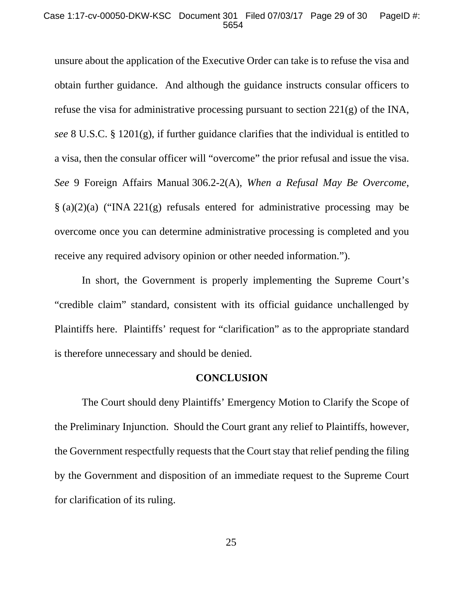#### Case 1:17-cv-00050-DKW-KSC Document 301 Filed 07/03/17 Page 29 of 30 PageID #: 5654

unsure about the application of the Executive Order can take is to refuse the visa and obtain further guidance. And although the guidance instructs consular officers to refuse the visa for administrative processing pursuant to section  $221(g)$  of the INA, *see* 8 U.S.C. § 1201(g), if further guidance clarifies that the individual is entitled to a visa, then the consular officer will "overcome" the prior refusal and issue the visa. *See* 9 Foreign Affairs Manual 306.2-2(A), *When a Refusal May Be Overcome*, § (a)(2)(a) ("INA 221(g) refusals entered for administrative processing may be overcome once you can determine administrative processing is completed and you receive any required advisory opinion or other needed information.").

In short, the Government is properly implementing the Supreme Court's "credible claim" standard, consistent with its official guidance unchallenged by Plaintiffs here. Plaintiffs' request for "clarification" as to the appropriate standard is therefore unnecessary and should be denied.

#### **CONCLUSION**

The Court should deny Plaintiffs' Emergency Motion to Clarify the Scope of the Preliminary Injunction. Should the Court grant any relief to Plaintiffs, however, the Government respectfully requests that the Court stay that relief pending the filing by the Government and disposition of an immediate request to the Supreme Court for clarification of its ruling.